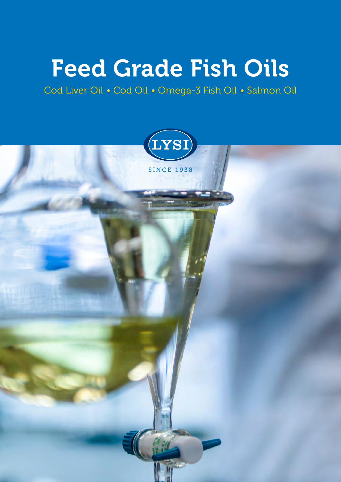# Feed Grade Fish Oils

Cod Liver Oil • Cod Oil • Omega-3 Fish Oil • Salmon Oil

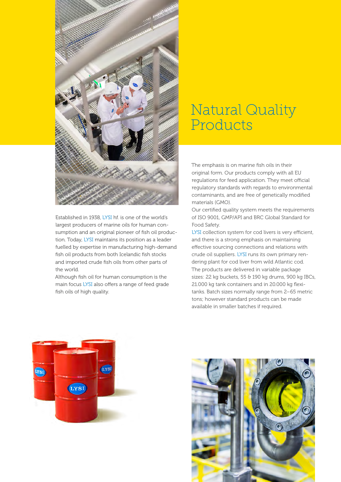

Established in 1938, LYSI hf. is one of the world's largest producers of marine oils for human consumption and an original pioneer of fish oil production. Today, LYSI maintains its position as a leader fuelled by expertise in manufacturing high-demand fish oil products from both Icelandic fish stocks and imported crude fish oils from other parts of the world.

Although fish oil for human consumption is the main focus LYSI also offers a range of feed grade fish oils of high quality.

### Natural Quality Products

The emphasis is on marine fish oils in their original form. Our products comply with all EU regulations for feed application. They meet official regulatory standards with regards to environmental contaminants, and are free of genetically modified materials (GMO).

Our certified quality system meets the requirements of ISO 9001, GMP/API and BRC Global Standard for Food Safety.

LYSI collection system for cod livers is very efficient, and there is a strong emphasis on maintaining effective sourcing connections and relations with crude oil suppliers. LYSI runs its own primary rendering plant for cod liver from wild Atlantic cod. The products are delivered in variable package sizes: 22 kg buckets, 55 & 190 kg drums, 900 kg IBCs, 21.000 kg tank containers and in 20.000 kg flexitanks. Batch sizes normally range from 2–65 metric tons; however standard products can be made available in smaller batches if required.



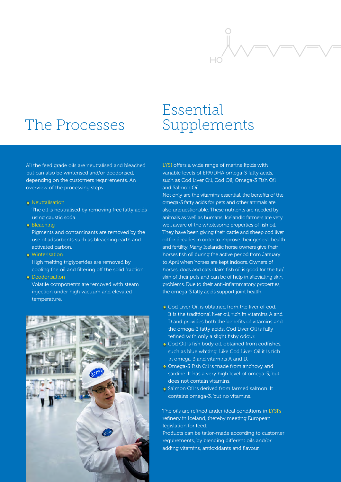

## The Processes

### Essential Supplements

All the feed grade oils are neutralised and bleached but can also be winterised and/or deodorised, depending on the customers requirements. An overview of the processing steps:

#### • Neutralisation

The oil is neutralised by removing free fatty acids using caustic soda.

#### • Bleaching

Pigments and contaminants are removed by the use of adsorbents such as bleaching earth and activated carbon.

#### **• Winterisation**

High melting triglycerides are removed by cooling the oil and filtering off the solid fraction.

#### • Deodorisation

Volatile components are removed with steam injection under high vacuum and elevated temperature.



LYSI offers a wide range of marine lipids with variable levels of EPA/DHA omega-3 fatty acids, such as Cod Liver Oil, Cod Oil, Omega-3 Fish Oil and Salmon Oil.

Not only are the vitamins essential, the benefits of the omega-3 fatty acids for pets and other animals are also unquestionable. These nutrients are needed by animals as well as humans. Icelandic farmers are very well aware of the wholesome properties of fish oil. They have been giving their cattle and sheep cod liver oil for decades in order to improve their general health and fertility. Many Icelandic horse owners give their horses fish oil during the active period from January to April when horses are kept indoors. Owners of horses, dogs and cats claim fish oil is good for the fur/ skin of their pets and can be of help in alleviating skin problems. Due to their anti-inflammatory properties, the omega-3 fatty acids support joint health.

- Cod Liver Oil is obtained from the liver of cod. It is the traditional liver oil, rich in vitamins A and D and provides both the benefits of vitamins and the omega-3 fatty acids. Cod Liver Oil is fully refined with only a slight fishy odour.
- Cod Oil is fish body oil, obtained from codfishes, such as blue whiting. Like Cod Liver Oil it is rich in omega-3 and vitamins A and D.
- **Omega-3 Fish Oil is made from anchovy and** sardine. It has a very high level of omega-3, but does not contain vitamins.
- Salmon Oil is derived from farmed salmon. It contains omega-3, but no vitamins.

The oils are refined under ideal conditions in LYSI's refinery in Iceland, thereby meeting European legislation for feed.

Products can be tailor-made according to customer requirements, by blending different oils and/or adding vitamins, antioxidants and flavour.